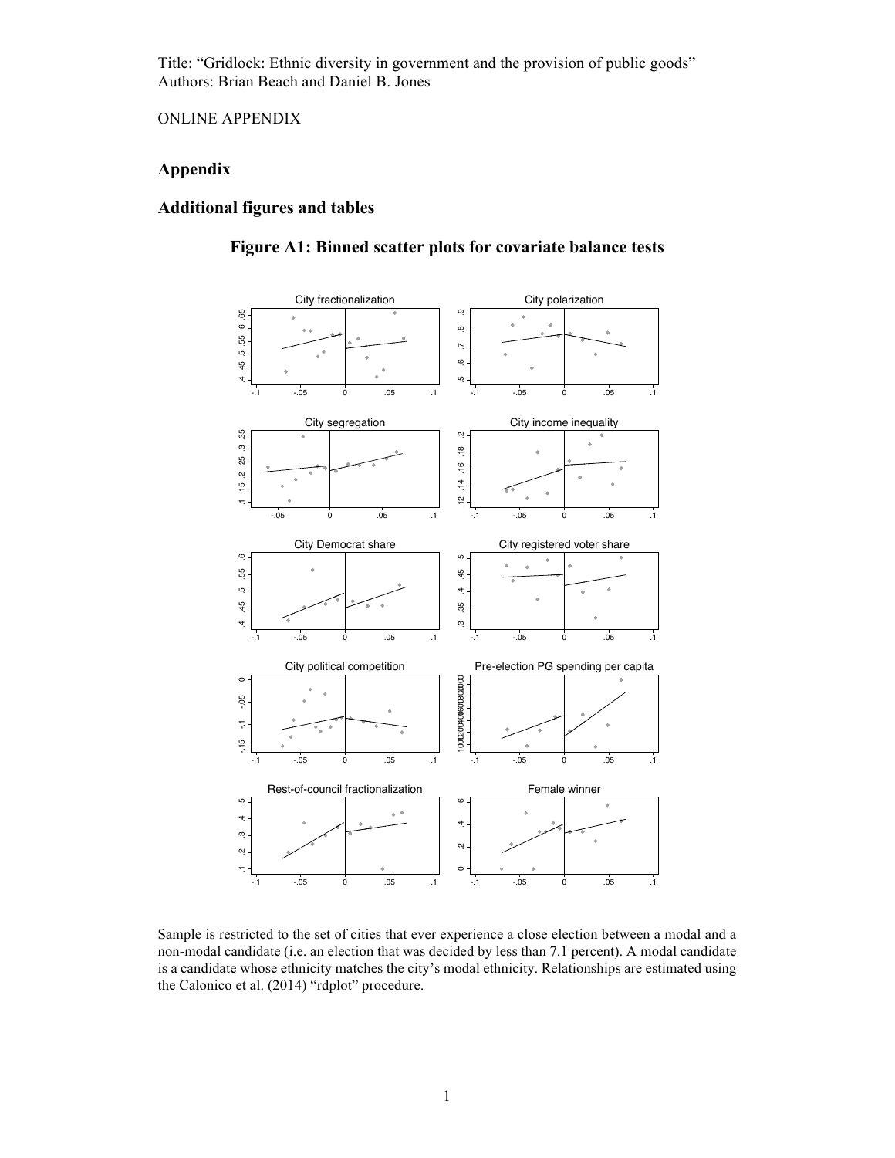Title: "Gridlock: Ethnic diversity in government and the provision of public goods" Authors: Brian Beach and Daniel B. Jones

ONLINE APPENDIX

## **Appendix**

### **Additional figures and tables**



**Figure A1: Binned scatter plots for covariate balance tests**

Sample is restricted to the set of cities that ever experience a close election between a modal and a non-modal candidate (i.e. an election that was decided by less than 7.1 percent). A modal candidate is a candidate whose ethnicity matches the city's modal ethnicity. Relationships are estimated using